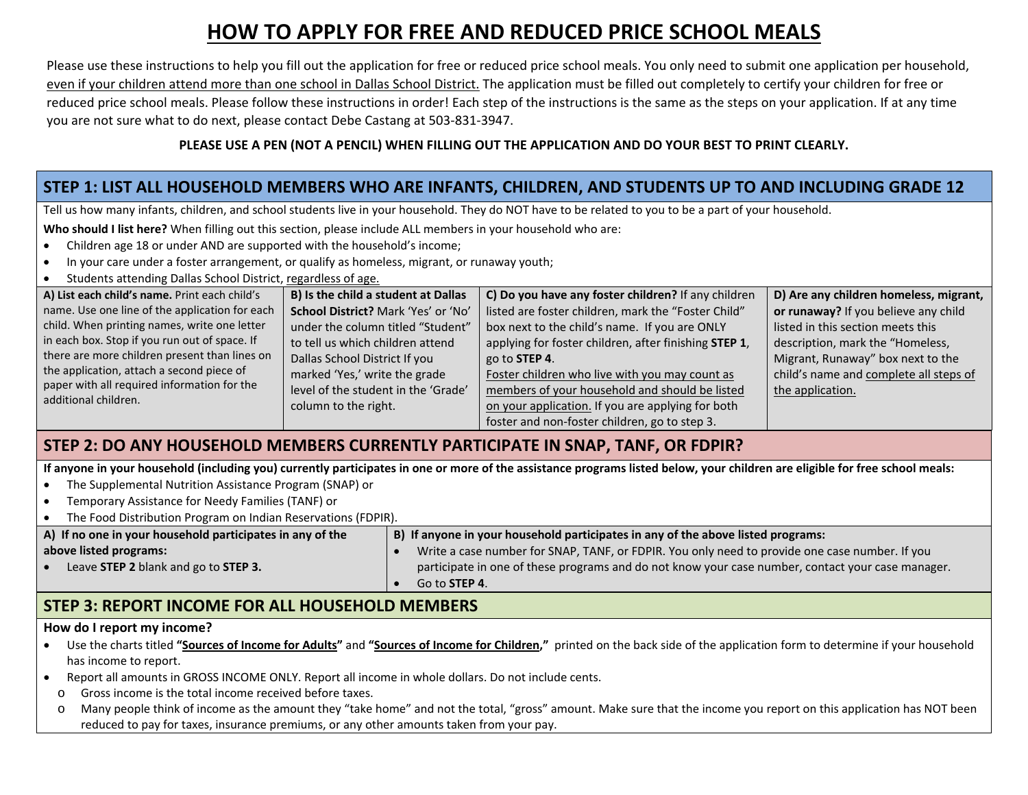# **HOW TO APPLY FOR FREE AND REDUCED PRICE SCHOOL MEALS**

Please use these instructions to help you fill out the application for free or reduced price school meals. You only need to submit one application per household, even if your children attend more than one school in Dallas School District. The application must be filled out completely to certify your children for free or reduced price school meals. Please follow these instructions in order! Each step of the instructions is the same as the steps on your application. If at any time you are not sure what to do next, please contact Debe Castang at 503-831-3947.

#### **PLEASE USE A PEN (NOT A PENCIL) WHEN FILLING OUT THE APPLICATION AND DO YOUR BEST TO PRINT CLEARLY.**

#### **STEP 1: LIST ALL HOUSEHOLD MEMBERS WHO ARE INFANTS, CHILDREN, AND STUDENTS UP TO AND INCLUDING GRADE 12**

Tell us how many infants, children, and school students live in your household. They do NOT have to be related to you to be a part of your household.

**Who should I list here?** When filling out this section, please include ALL members in your household who are:

- Children age 18 or under AND are supported with the household's income;
- In your care under a foster arrangement, or qualify as homeless, migrant, or runaway youth;
- Students attending Dallas School District, regardless of age.

| A) List each child's name. Print each child's  | B) Is the child a student at Dallas | C) Do you have any foster children? If any children   | D) Are any children homeless, migrant, |
|------------------------------------------------|-------------------------------------|-------------------------------------------------------|----------------------------------------|
| name. Use one line of the application for each | School District? Mark 'Yes' or 'No' | listed are foster children, mark the "Foster Child"   | or runaway? If you believe any child   |
| child. When printing names, write one letter   | under the column titled "Student"   | box next to the child's name. If you are ONLY         | listed in this section meets this      |
| in each box. Stop if you run out of space. If  | to tell us which children attend    | applying for foster children, after finishing STEP 1, | description, mark the "Homeless,       |
| there are more children present than lines on  | Dallas School District If you       | go to <b>STEP 4</b> .                                 | Migrant, Runaway" box next to the      |
| the application, attach a second piece of      | marked 'Yes,' write the grade       | Foster children who live with you may count as        | child's name and complete all steps of |
| paper with all required information for the    | level of the student in the 'Grade' | members of your household and should be listed        | the application.                       |
| additional children.                           | column to the right.                | on your application. If you are applying for both     |                                        |
|                                                |                                     | foster and non-foster children, go to step 3.         |                                        |

## **STEP 2: DO ANY HOUSEHOLD MEMBERS CURRENTLY PARTICIPATE IN SNAP, TANF, OR FDPIR?**

**If anyone in your household (including you) currently participates in one or more of the assistance programs listed below, your children are eligible for free school meals:**

- The Supplemental Nutrition Assistance Program (SNAP) or
- Temporary Assistance for Needy Families (TANF) or
- The Food Distribution Program on Indian Reservations (FDPIR).

| A) If no one in your household participates in any of the | B) If anyone in your household participates in any of the above listed programs:                  |  |  |
|-----------------------------------------------------------|---------------------------------------------------------------------------------------------------|--|--|
| above listed programs:                                    | Write a case number for SNAP, TANF, or FDPIR. You only need to provide one case number. If you    |  |  |
| Leave STEP 2 blank and go to STEP 3.                      | participate in one of these programs and do not know your case number, contact your case manager. |  |  |
|                                                           | Go to <b>STEP 4</b> .                                                                             |  |  |

#### **STEP 3: REPORT INCOME FOR ALL HOUSEHOLD MEMBERS**

#### **How do I report my income?**

- Use the charts titled **"Sources of Income for Adults"** and **"Sources of Income for Children,"** printed on the back side of the application form to determine if your household has income to report.
- Report all amounts in GROSS INCOME ONLY. Report all income in whole dollars. Do not include cents.
- o Gross income is the total income received before taxes.
- o Many people think of income as the amount they "take home" and not the total, "gross" amount. Make sure that the income you report on this application has NOT been reduced to pay for taxes, insurance premiums, or any other amounts taken from your pay.